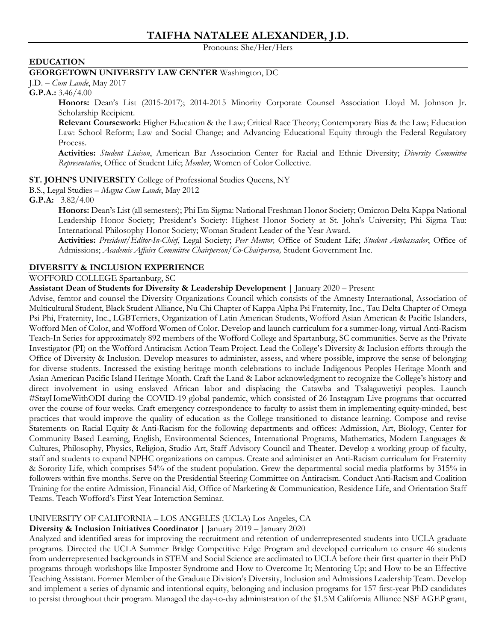# **TAIFHA NATALEE ALEXANDER, J.D.**

Pronouns: She/Her/Hers

### **EDUCATION**

### **GEORGETOWN UNIVERSITY LAW CENTER** Washington, DC

J.D. – *Cum Laude*, May 2017

#### **G.P.A.:** 3.46/4.00

**Honors:** Dean's List (2015-2017); 2014-2015 Minority Corporate Counsel Association Lloyd M. Johnson Jr. Scholarship Recipient.

**Relevant Coursework:** Higher Education & the Law; Critical Race Theory; Contemporary Bias & the Law; Education Law: School Reform; Law and Social Change; and Advancing Educational Equity through the Federal Regulatory Process.

**Activities:** *Student Liaison*, American Bar Association Center for Racial and Ethnic Diversity; *Diversity Committee Representative*, Office of Student Life; *Member,* Women of Color Collective.

#### **ST. JOHN'S UNIVERSITY** College of Professional Studies Queens, NY

B.S., Legal Studies – *Magna Cum Laude*, May 2012

**G.P.A:** 3.82/4.00

**Honors:** Dean's List (all semesters); Phi Eta Sigma: National Freshman Honor Society; Omicron Delta Kappa National Leadership Honor Society; President's Society: Highest Honor Society at St. John's University; Phi Sigma Tau: International Philosophy Honor Society; Woman Student Leader of the Year Award.

**Activities:** *President/Editor-In-Chief*, Legal Society; *Peer Mentor,* Office of Student Life; *Student Ambassador*, Office of Admissions; *Academic Affairs Committee Chairperson/Co-Chairperson,* Student Government Inc.

### **DIVERSITY & INCLUSION EXPERIENCE**

### WOFFORD COLLEGE Spartanburg, SC

**Assistant Dean of Students for Diversity & Leadership Development** | January 2020 – Present

Advise, femtor and counsel the Diversity Organizations Council which consists of the Amnesty International, Association of Multicultural Student, Black Student Alliance, Nu Chi Chapter of Kappa Alpha Psi Fraternity, Inc., Tau Delta Chapter of Omega Psi Phi, Fraternity, Inc., LGBTerriers, Organization of Latin American Students, Wofford Asian American & Pacific Islanders, Wofford Men of Color, and Wofford Women of Color. Develop and launch curriculum for a summer-long, virtual Anti-Racism Teach-In Series for approximately 892 members of the Wofford College and Spartanburg, SC communities. Serve as the Private Investigator (PI) on the Wofford Antiracism Action Team Project. Lead the College's Diversity & Inclusion efforts through the Office of Diversity & Inclusion. Develop measures to administer, assess, and where possible, improve the sense of belonging for diverse students. Increased the existing heritage month celebrations to include Indigenous Peoples Heritage Month and Asian American Pacific Island Heritage Month. Craft the Land & Labor acknowledgment to recognize the College's history and direct involvement in using enslaved African labor and displacing the Catawba and Tsalaguwetiyi peoples. Launch #StayHomeWithODI during the COVID-19 global pandemic, which consisted of 26 Instagram Live programs that occurred over the course of four weeks. Craft emergency correspondence to faculty to assist them in implementing equity-minded, best practices that would improve the quality of education as the College transitioned to distance learning. Compose and revise Statements on Racial Equity & Anti-Racism for the following departments and offices: Admission, Art, Biology, Center for Community Based Learning, English, Environmental Sciences, International Programs, Mathematics, Modern Languages & Cultures, Philosophy, Physics, Religion, Studio Art, Staff Advisory Council and Theater. Develop a working group of faculty, staff and students to expand NPHC organizations on campus. Create and administer an Anti-Racism curriculum for Fraternity & Sorority Life, which comprises 54% of the student population. Grew the departmental social media platforms by 315% in followers within five months. Serve on the Presidential Steering Committee on Antiracism. Conduct Anti-Racism and Coalition Training for the entire Admission, Financial Aid, Office of Marketing & Communication, Residence Life, and Orientation Staff Teams. Teach Wofford's First Year Interaction Seminar.

#### UNIVERSITY OF CALIFORNIA – LOS ANGELES (UCLA) Los Angeles, CA

#### **Diversity & Inclusion Initiatives Coordinator** | January 2019 – January 2020

Analyzed and identified areas for improving the recruitment and retention of underrepresented students into UCLA graduate programs. Directed the UCLA Summer Bridge Competitive Edge Program and developed curriculum to ensure 46 students from underrepresented backgrounds in STEM and Social Science are acclimated to UCLA before their first quarter in their PhD programs through workshops like Imposter Syndrome and How to Overcome It; Mentoring Up; and How to be an Effective Teaching Assistant. Former Member of the Graduate Division's Diversity, Inclusion and Admissions Leadership Team. Develop and implement a series of dynamic and intentional equity, belonging and inclusion programs for 157 first-year PhD candidates to persist throughout their program. Managed the day-to-day administration of the \$1.5M California Alliance NSF AGEP grant,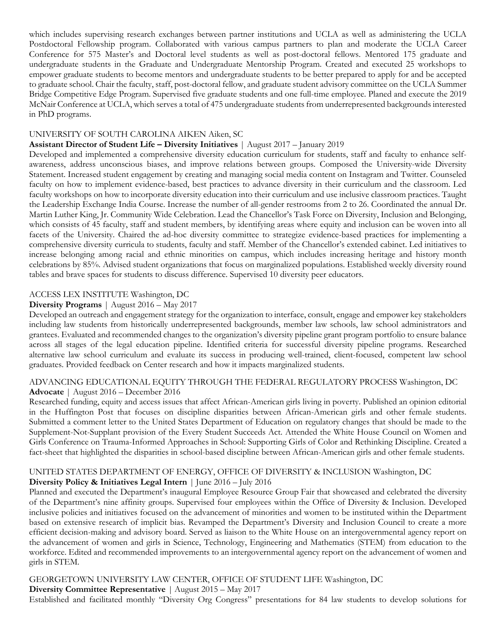which includes supervising research exchanges between partner institutions and UCLA as well as administering the UCLA Postdoctoral Fellowship program. Collaborated with various campus partners to plan and moderate the UCLA Career Conference for 575 Master's and Doctoral level students as well as post-doctoral fellows. Mentored 175 graduate and undergraduate students in the Graduate and Undergraduate Mentorship Program. Created and executed 25 workshops to empower graduate students to become mentors and undergraduate students to be better prepared to apply for and be accepted to graduate school. Chair the faculty, staff, post-doctoral fellow, and graduate student advisory committee on the UCLA Summer Bridge Competitive Edge Program. Supervised five graduate students and one full-time employee. Planed and execute the 2019 McNair Conference at UCLA, which serves a total of 475 undergraduate students from underrepresented backgrounds interested in PhD programs.

#### UNIVERSITY OF SOUTH CAROLINA AIKEN Aiken, SC

#### **Assistant Director of Student Life – Diversity Initiatives** | August 2017 – January 2019

Developed and implemented a comprehensive diversity education curriculum for students, staff and faculty to enhance selfawareness, address unconscious biases, and improve relations between groups. Composed the University-wide Diversity Statement. Increased student engagement by creating and managing social media content on Instagram and Twitter. Counseled faculty on how to implement evidence-based, best practices to advance diversity in their curriculum and the classroom. Led faculty workshops on how to incorporate diversity education into their curriculum and use inclusive classroom practices. Taught the Leadership Exchange India Course. Increase the number of all-gender restrooms from 2 to 26. Coordinated the annual Dr. Martin Luther King, Jr. Community Wide Celebration. Lead the Chancellor's Task Force on Diversity, Inclusion and Belonging, which consists of 45 faculty, staff and student members, by identifying areas where equity and inclusion can be woven into all facets of the University. Chaired the ad-hoc diversity committee to strategize evidence-based practices for implementing a comprehensive diversity curricula to students, faculty and staff. Member of the Chancellor's extended cabinet. Led initiatives to increase belonging among racial and ethnic minorities on campus, which includes increasing heritage and history month celebrations by 85%. Advised student organizations that focus on marginalized populations. Established weekly diversity round tables and brave spaces for students to discuss difference. Supervised 10 diversity peer educators.

#### ACCESS LEX INSTITUTE Washington, DC

#### **Diversity Programs** | August 2016 – May 2017

Developed an outreach and engagement strategy for the organization to interface, consult, engage and empower key stakeholders including law students from historically underrepresented backgrounds, member law schools, law school administrators and grantees. Evaluated and recommended changes to the organization's diversity pipeline grant program portfolio to ensure balance across all stages of the legal education pipeline. Identified criteria for successful diversity pipeline programs. Researched alternative law school curriculum and evaluate its success in producing well-trained, client-focused, competent law school graduates. Provided feedback on Center research and how it impacts marginalized students.

#### ADVANCING EDUCATIONAL EQUITY THROUGH THE FEDERAL REGULATORY PROCESS Washington, DC **Advocate** | August 2016 – December 2016

Researched funding, equity and access issues that affect African-American girls living in poverty. Published an opinion editorial in the Huffington Post that focuses on discipline disparities between African-American girls and other female students. Submitted a comment letter to the United States Department of Education on regulatory changes that should be made to the Supplement-Not-Supplant provision of the Every Student Succeeds Act. Attended the White House Council on Women and Girls Conference on Trauma-Informed Approaches in School: Supporting Girls of Color and Rethinking Discipline. Created a fact-sheet that highlighted the disparities in school-based discipline between African-American girls and other female students.

#### UNITED STATES DEPARTMENT OF ENERGY, OFFICE OF DIVERSITY & INCLUSION Washington, DC **Diversity Policy & Initiatives Legal Intern** | June 2016 – July 2016

Planned and executed the Department's inaugural Employee Resource Group Fair that showcased and celebrated the diversity of the Department's nine affinity groups. Supervised four employees within the Office of Diversity & Inclusion. Developed inclusive policies and initiatives focused on the advancement of minorities and women to be instituted within the Department based on extensive research of implicit bias. Revamped the Department's Diversity and Inclusion Council to create a more efficient decision-making and advisory board. Served as liaison to the White House on an intergovernmental agency report on the advancement of women and girls in Science, Technology, Engineering and Mathematics (STEM) from education to the workforce. Edited and recommended improvements to an intergovernmental agency report on the advancement of women and girls in STEM.

### GEORGETOWN UNIVERSITY LAW CENTER, OFFICE OF STUDENT LIFE Washington, DC

**Diversity Committee Representative** *|* August 2015 – May 2017

Established and facilitated monthly "Diversity Org Congress" presentations for 84 law students to develop solutions for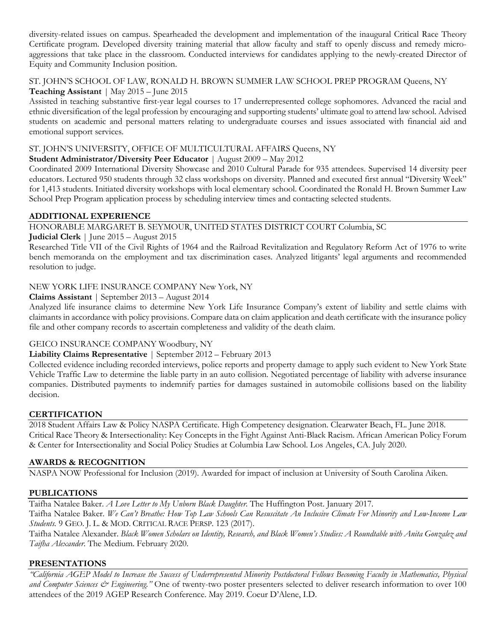diversity-related issues on campus. Spearheaded the development and implementation of the inaugural Critical Race Theory Certificate program. Developed diversity training material that allow faculty and staff to openly discuss and remedy microaggressions that take place in the classroom. Conducted interviews for candidates applying to the newly-created Director of Equity and Community Inclusion position.

### ST. JOHN'S SCHOOL OF LAW, RONALD H. BROWN SUMMER LAW SCHOOL PREP PROGRAM Queens, NY **Teaching Assistant** *|* May 2015 – June 2015

Assisted in teaching substantive first-year legal courses to 17 underrepresented college sophomores. Advanced the racial and ethnic diversification of the legal profession by encouraging and supporting students' ultimate goal to attend law school. Advised students on academic and personal matters relating to undergraduate courses and issues associated with financial aid and emotional support services.

### ST. JOHN'S UNIVERSITY, OFFICE OF MULTICULTURAL AFFAIRS Queens, NY

### **Student Administrator/Diversity Peer Educator** *|* August 2009 – May 2012

Coordinated 2009 International Diversity Showcase and 2010 Cultural Parade for 935 attendees. Supervised 14 diversity peer educators. Lectured 950 students through 32 class workshops on diversity. Planned and executed first annual "Diversity Week" for 1,413 students. Initiated diversity workshops with local elementary school. Coordinated the Ronald H. Brown Summer Law School Prep Program application process by scheduling interview times and contacting selected students.

### **ADDITIONAL EXPERIENCE**

HONORABLE MARGARET B. SEYMOUR, UNITED STATES DISTRICT COURT Columbia, SC

**Judicial Clerk** | June 2015 – August 2015

Researched Title VII of the Civil Rights of 1964 and the Railroad Revitalization and Regulatory Reform Act of 1976 to write bench memoranda on the employment and tax discrimination cases. Analyzed litigants' legal arguments and recommended resolution to judge.

# NEW YORK LIFE INSURANCE COMPANY New York, NY

**Claims Assistant** | September 2013 – August 2014

Analyzed life insurance claims to determine New York Life Insurance Company's extent of liability and settle claims with claimants in accordance with policy provisions. Compare data on claim application and death certificate with the insurance policy file and other company records to ascertain completeness and validity of the death claim.

# GEICO INSURANCE COMPANY Woodbury, NY

# **Liability Claims Representative** | September 2012 – February 2013

Collected evidence including recorded interviews, police reports and property damage to apply such evident to New York State Vehicle Traffic Law to determine the liable party in an auto collision. Negotiated percentage of liability with adverse insurance companies. Distributed payments to indemnify parties for damages sustained in automobile collisions based on the liability decision.

# **CERTIFICATION**

2018 Student Affairs Law & Policy NASPA Certificate. High Competency designation. Clearwater Beach, FL. June 2018. Critical Race Theory & Intersectionality: Key Concepts in the Fight Against Anti-Black Racism. African American Policy Forum & Center for Intersectionality and Social Policy Studies at Columbia Law School. Los Angeles, CA. July 2020.

### **AWARDS & RECOGNITION**

NASPA NOW Professional for Inclusion (2019). Awarded for impact of inclusion at University of South Carolina Aiken.

# **PUBLICATIONS**

Taifha Natalee Baker. *A Love Letter to My Unborn Black Daughter*. The Huffington Post. January 2017.

Taifha Natalee Baker. *We Can't Breathe: How Top Law Schools Can Resuscitate An Inclusive Climate For Minority and Low-Income Law Students.* 9 GEO. J. L. & MOD. CRITICAL RACE PERSP. 123 (2017).

Taifha Natalee Alexander. *Black Women Scholars on Identity, Research, and Black Women's Studies: A Roundtable with Anita Gonzalez and Taifha Alexander*. The Medium. February 2020.

# **PRESENTATIONS**

*"California AGEP Model to Increase the Success of Underrepresented Minority Postdoctoral Fellows Becoming Faculty in Mathematics, Physical and Computer Sciences & Engineering."* One of twenty-two poster presenters selected to deliver research information to over 100 attendees of the 2019 AGEP Research Conference. May 2019. Coeur D'Alene, I.D.